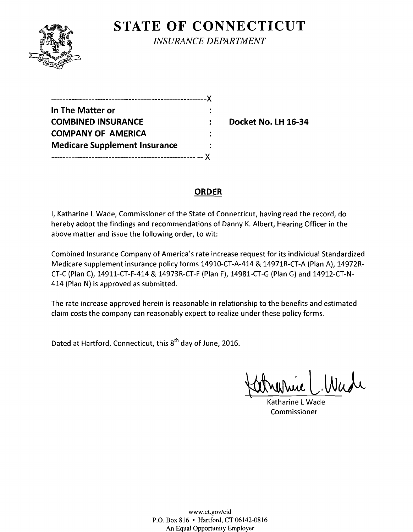

**STATE OF CONNECTICUT** *INSURANCE DEPARTMENT* 

| .---------------------------------   |  |
|--------------------------------------|--|
| In The Matter or                     |  |
| <b>COMBINED INSURANCE</b>            |  |
| <b>COMPANY OF AMERICA</b>            |  |
| <b>Medicare Supplement Insurance</b> |  |
|                                      |  |

**Docket No. LH 16-34** 

# **ORDER**

I, Katharine L Wade, Commissioner of the State of Connecticut, having read the record, do hereby adopt the findings and recommendations of Danny K. Albert, Hearing Officer in the above matter and issue the following order, to wit:

Combined Insurance Company of America's rate increase request for its individual Standardized Medicare supplement insurance policy forms 14910-CT-A-414 & 14971R-CT-A (Plan A), 14972R-CT-C (Plan C), 14911-CT-F-414 & 14973R-CT-F (Plan F), 14981-CT-G (Plan G) and 14912-CT-N-414 (Plan N) is approved as submitted.

The rate increase approved herein is reasonable in relationship to the benefits and estimated claim costs the company can reasonably expect to realize under these policy forms.

Dated at Hartford, Connecticut, this 8<sup>th</sup> day of June, 2016.

Katronnie C. Wade

Katharine L Wade Commissioner

www.ct.gov/cid P.O. Box 816 • Hartford, CT 06142-0816 An Equal Opportunity Employer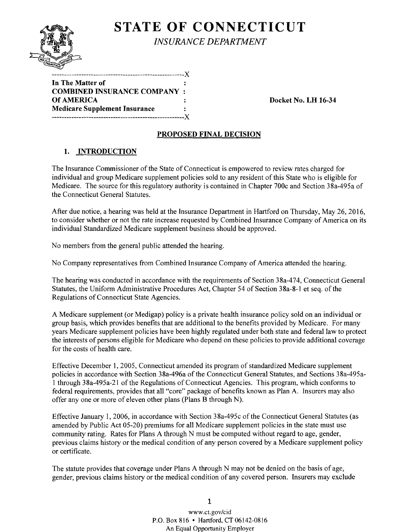

**STATE OF CONNECTICUT** *INSURANCE DEPARTMENT* 

| .------- <i>----------</i> ----------------X |   |
|----------------------------------------------|---|
| In The Matter of                             |   |
| <b>COMBINED INSURANCE COMPANY :</b>          |   |
| Of AMERICA                                   |   |
| <b>Medicare Supplement Insurance</b>         | ÷ |
|                                              |   |

Docket No. LH 16-34

## PROPOSED FINAL DECISION

## 1. INTRODUCTION

The Insurance Commissioner of the State of Connecticut is empowered to review rates charged for individual and group Medicare supplement policies sold to any resident of this State who is eligible for Medicare. The source for this regulatory authority is contained in Chapter 700c and Section 38a-495a of the Connecticut General Statutes.

After due notice, a hearing was held at the Insurance Department in Hartford on Thursday, May 26, 2016, to consider whether or not the rate increase requested by Combined Insurance Company of America on its individual Standardized Medicare supplement business should be approved.

No members from the general public attended the hearing.

No Company representatives from Combined Insurance Company of America attended the hearing.

The hearing was conducted in accordance with the requirements of Section 38a-474, Connecticut General Statutes, the Uniform Administrative Procedures Act, Chapter 54 of Section 3 8a-8-1 et seq. of the Regulations of Connecticut State Agencies.

A Medicare supplement (or Medigap) policy is a private health insurance policy sold on an individual or group basis, which provides benefits that are additional to the benefits provided by Medicare. For many years Medicare supplement policies have been highly regulated under both state and federal law to protect the interests of persons eligible for Medicare who depend on these policies to provide additional coverage for the costs of health care.

Effective December 1, 2005, Connecticut amended its program of standardized Medicare supplement policies in accordance with Section 38a-496a of the Connecticut General Statutes, and Sections 38a-495a-1 through 38a-495a-21 ofthe Regulations of Connecticut Agencies. This program, which conforms to federal requirements, provides that all "core" package of benefits known as Plan A. Insurers may also offer any one or more of eleven other plans (Plans B through N).

Effective January 1, 2006, in accordance with Section 38a-495c of the Connecticut General Statutes (as amended by Public Act 05-20) premiums for all Medicare supplement policies in the state must use community rating. Rates for Plans A through N must be computed without regard to age, gender, previous claims history or the medical condition of any person covered by a Medicare supplement policy or certificate.

The statute provides that coverage under Plans A through N may not be denied on the basis of age, gender, previous claims history or the medical condition of any covered person. Insurers may exclude

> 1 www.ct.gov/cid P.O. Box 816 • Hartford, CT 06142-0816 An Equal Opportunity Employer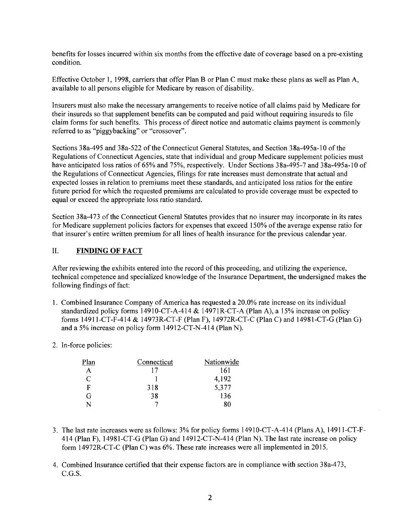benefits for losses incurred within six months from the effective date of coverage based on a pre-existing condition.

Effective October 1, 1998, carriers that offer Plan B or Plan C must make these plans as well as Plan A, available to all persons eligible for Medicare by reason of disability.

Insurers must also make the necessary arrangements to receive notice of all claims paid by Medicare for their insureds so that supplement benefits can be computed and paid without requiring insureds to file claim forms for such benefits. This process of direct notice and automatic claims payment is commonly referred to as "piggybacking" or "crossover".

Sections 38a-495 and 38a-522 of the Connecticut General Statutes, and Section 38a-495a-10 of the Regulations of Connecticut Agencies, state that individual and group Medicare supplement policies must have anticipated loss ratios of 65% and 75%, respectively. Under Sections 38a-495-7 and 38a-495a-10 of the Regulations of Connecticut Agencies, filings for rate increases must demonstrate that actual and expected losses in relation to premiums meet these standards, and anticipated loss ratios for the entire future period for which the requested premiums are calculated to provide coverage must be expected to equal or exceed the appropriate loss ratio standard.

Section 38a-473 of the Connecticut General Statutes provides that no insurer may incorporate in its rates for Medicare supplement policies factors for expenses that exceed 150% of the average expense ratio for that insurer's entire written premium for all lines of health insurance for the previous calendar year.

#### II. **FINDING OF FACT**

After reviewing the exhibits entered into the record ofthis proceeding, and utilizing the experience, technical competence and specialized knowledge of the Insurance Department, the undersigned makes the following findings of fact:

- 1. Combined Insurance Company of America has requested a 20.0% rate increase on its individual standardized policy forms 14910-CT-A-414 & 14971R-CT-A (Plan A), a 15% increase on policy forms 14911-CT-F-414 & 14973R-CT-F (Plan F), 14972R-CT-C (Plan C) and 14981-CT-G (Plan G) and a 5% increase on policy form 14912-CT-N-414 (Plan N).
- 2. In-force policies:

| Plan                        | Connecticut | Nationwide |
|-----------------------------|-------------|------------|
|                             |             | 161        |
| $\mathcal{C}_{\mathcal{C}}$ |             | 4,192      |
| F                           | 318         | 5,377      |
| (ì                          | 38          | 136        |
| N                           |             | 80         |

- 3. The last rate increases were as follows: 3% for policy forms 14910-CT-A-414 (Plans A), 14911-CT-F-414 (Plan F), 14981-CT-G (Plan G) and 14912-CT-N-414 (Plan N). The last rate increase on policy form l4972R-CT-C (Plan C) was 6%. These rate increases were all implemented in 2015.
- 4. Combined Insurance certified that their expense factors are in compliance with section 3 8a-4 73, C.G.S.